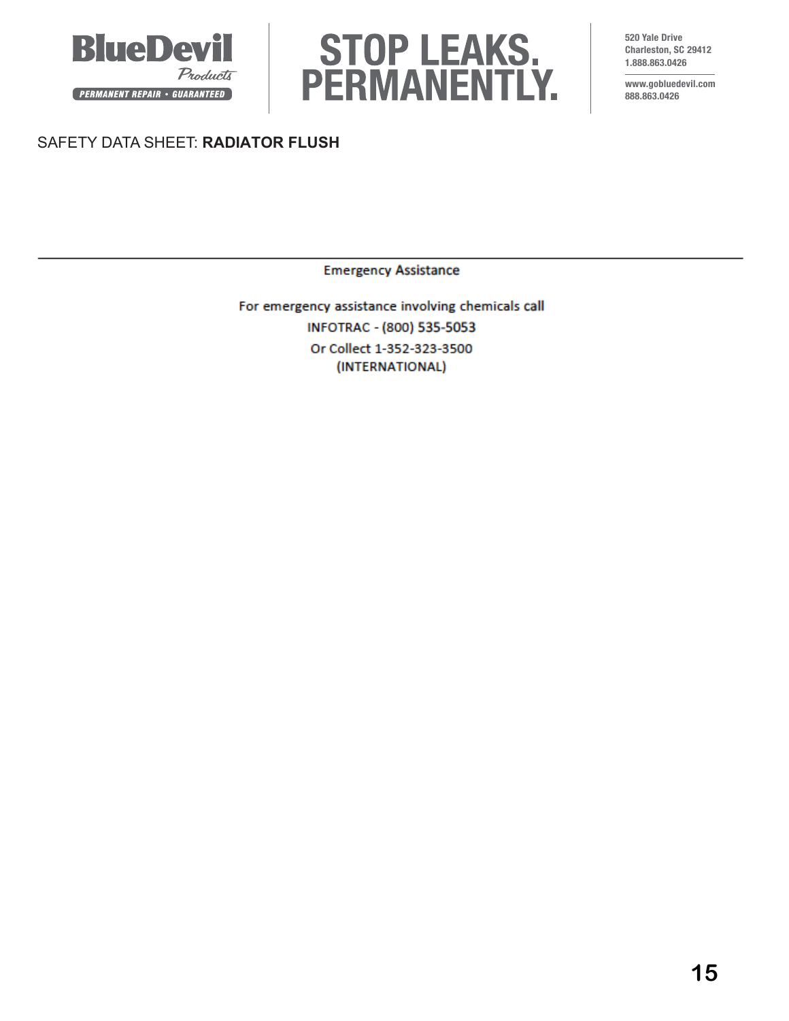



**520 Yale Drive Charleston, SC 29412 1.888.863.0426**

**www.gobluedevil.com 888.863.0426**

# SAFETY DATA SHEET: **RADIATOR FLUSH**

**Emergency Assistance** 

For emergency assistance involving chemicals call INFOTRAC - (800) 535-5053 Or Collect 1-352-323-3500 (INTERNATIONAL)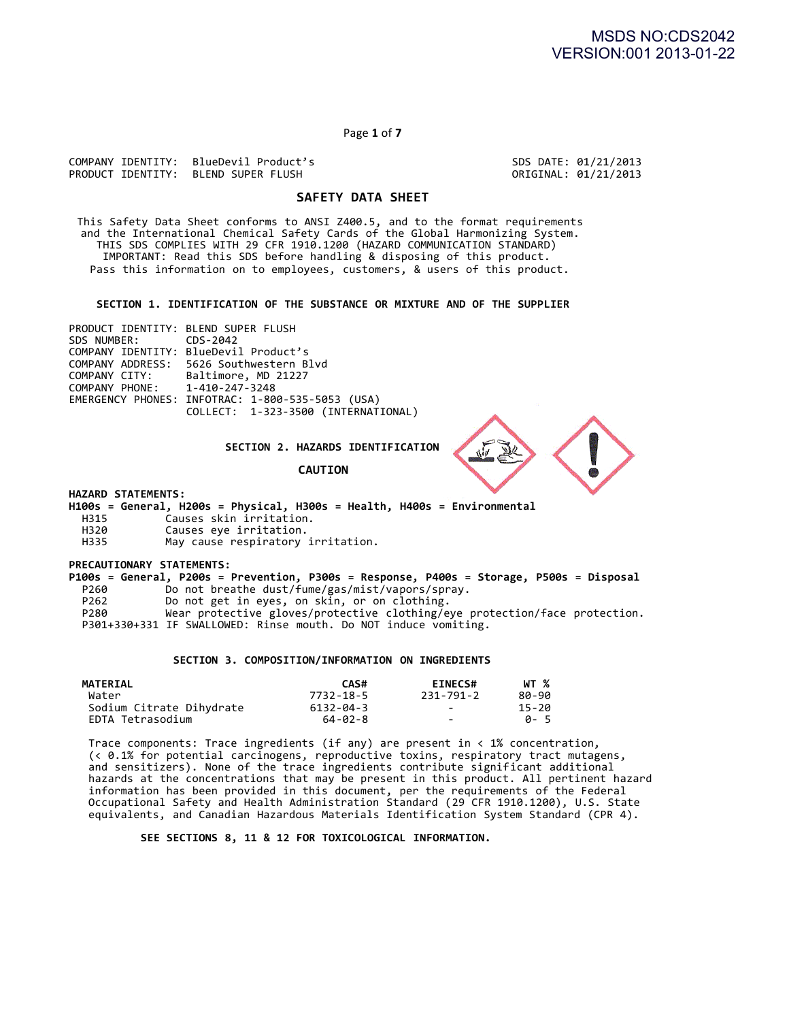Page **1** of **7**

COMPANY IDENTITY: BlueDevil Product's SDS DATE: 01/21/2013 PRODUCT IDENTITY: BLEND SUPER FLUSH

# **SAFETY DATA SHEET**

This Safety Data Sheet conforms to ANSI Z400.5, and to the format requirements and the International Chemical Safety Cards of the Global Harmonizing System. THIS SDS COMPLIES WITH 29 CFR 1910.1200 (HAZARD COMMUNICATION STANDARD) IMPORTANT: Read this SDS before handling & disposing of this product. Pass this information on to employees, customers, & users of this product.

SECTION 1. IDENTIFICATION OF THE SUBSTANCE OR MIXTURE AND OF THE SUPPLIER

PRODUCT IDENTITY: BLEND SUPER FLUSH<br>SDS NUMBER: CDS-2042 SDS NUMBER: COMPANY IDENTITY: BlueDevil Product's COMPANY ADDRESS: 5626 Southwestern Blvd<br>COMPANY CITY: Baltimore, MD 21227 COMPANY CITY: Baltimore, MD 21227<br>COMPANY PHONE: 1-410-247-3248 1-410-247-3248 EMERGENCY PHONES: INFOTRAC: 1-800-535-5053 (USA) COLLECT: 1-323-3500 (INTERNATIONAL)

**SECTION 2. HAZARDS IDENTIFICATION**

**CAUTION**



**HAZARD STATEMENTS:**

**H100s** = General, H200s = Physical, H300s = Health, H400s = Environmental<br>H315 (auses skin irritation. H315 Causes skin irritation.

- H320 Causes eye irritation.<br>H335 May cause respiratory
- May cause respiratory irritation.

**PRECAUTIONARY STATEMENTS:**

**P100s** = General, P200s = Prevention, P300s = Response, P400s = Storage, P500s = Disposal<br>P260 Do not breathe dust/fume/gas/mist/vapors/sprav. P260 Do not breathe dust/fume/gas/mist/vapors/spray.<br>P262 Do not get in eyes, on skin, or on clothing.

Do not get in eyes, on skin, or on clothing.

P280 Wear protective gloves/protective clothing/eye protection/face protection. P301+330+331 IF SWALLOWED: Rinse mouth. Do NOT induce vomiting.

# **SECTION 3. COMPOSITION/INFORMATION ON INGREDIENTS**

| <b>MATERIAL</b>          | CAS#      | <b>EINECS#</b>           | WT %        |
|--------------------------|-----------|--------------------------|-------------|
| Water                    | 7732-18-5 | 231-791-2                | 80-90       |
| Sodium Citrate Dihydrate | 6132-04-3 | $\overline{\phantom{0}}$ | 15-20       |
| EDTA Tetrasodium         | 64-02-8   | $\overline{\phantom{a}}$ | <b>A</b> -5 |

Trace components: Trace ingredients (if any) are present in  $\langle$  1% concentration, (< 0.1% for potential carcinogens, reproductive toxins, respiratory tract mutagens, and sensitizers). None of the trace ingredients contribute significant additional hazards at the concentrations that may be present in this product. All pertinent hazard information has been provided in this document, per the requirements of the Federal Occupational Safety and Health Administration Standard (29 CFR 1910.1200), U.S. State equivalents, and Canadian Hazardous Materials Identification System Standard (CPR 4).

SEE SECTIONS 8, 11 & 12 FOR TOXICOLOGICAL INFORMATION.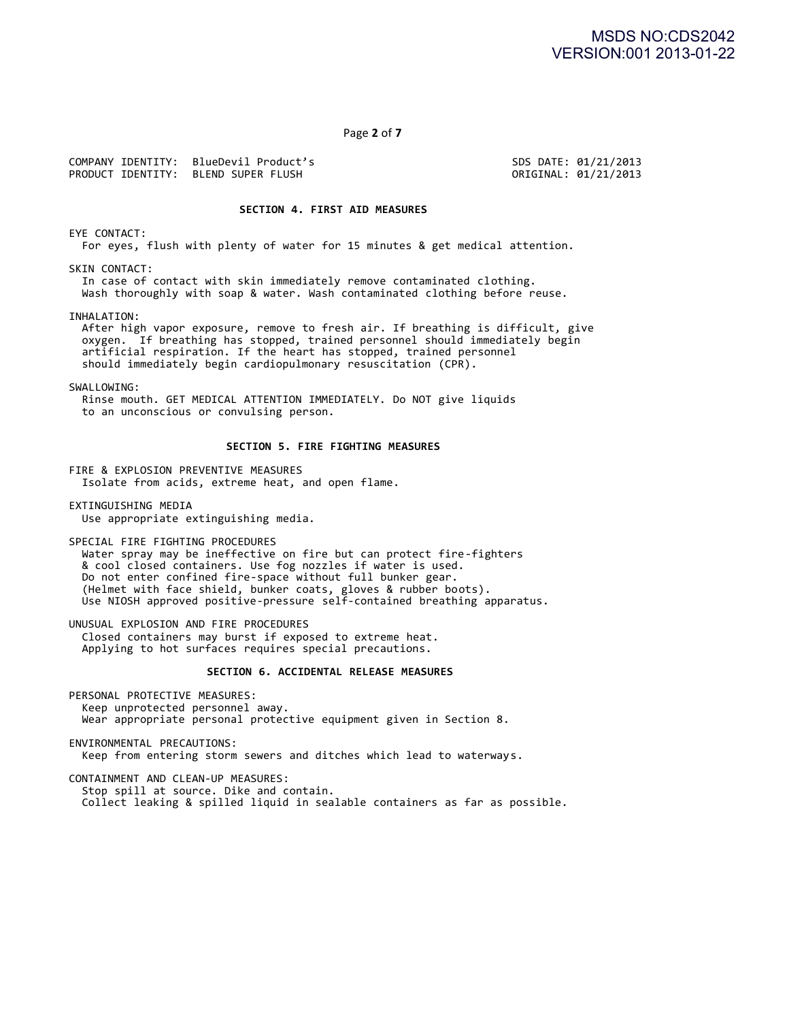Page **2** of **7**

COMPANY IDENTITY: BlueDevil Product's SDS DATE: 01/21/2013 PRODUCT IDENTITY: BLEND SUPER FLUSH

## **SECTION 4. FIRST AID MEASURES**

EYE CONTACT:

For eyes, flush with plenty of water for 15 minutes & get medical attention.

SKIN CONTACT:

In case of contact with skin immediately remove contaminated clothing. Wash thoroughly with soap & water. Wash contaminated clothing before reuse.

INHALATION:

After high vapor exposure, remove to fresh air. If breathing is difficult, give oxygen. If breathing has stopped, trained personnel should immediately begin artificial respiration. If the heart has stopped, trained personnel should immediately begin cardiopulmonary resuscitation (CPR).

#### SWALLOWING:

Rinse mouth. GET MEDICAL ATTENTION IMMEDIATELY. Do NOT give liquids to an unconscious or convulsing person.

# **SECTION 5. FIRE FIGHTING MEASURES**

FIRE & EXPLOSION PREVENTIVE MEASURES Isolate from acids, extreme heat, and open flame.

EXTINGUISHING MEDIA

Use appropriate extinguishing media.

SPECIAL FIRE FIGHTING PROCEDURES

Water spray may be ineffective on fire but can protect fire-fighters & cool closed containers. Use fog nozzles if water is used. Do not enter confined fire-space without full bunker gear. (Helmet with face shield, bunker coats, gloves & rubber boots). Use NIOSH approved positive-pressure self-contained breathing apparatus.

UNUSUAL EXPLOSION AND FIRE PROCEDURES Closed containers may burst if exposed to extreme heat. Applying to hot surfaces requires special precautions.

## **SECTION 6. ACCIDENTAL RELEASE MEASURES**

PERSONAL PROTECTIVE MEASURES: Keep unprotected personnel away. Wear appropriate personal protective equipment given in Section 8.

ENVIRONMENTAL PRECAUTIONS: Keep from entering storm sewers and ditches which lead to waterways.

CONTAINMENT AND CLEAN-UP MEASURES: Stop spill at source. Dike and contain. Collect leaking & spilled liquid in sealable containers as far as possible.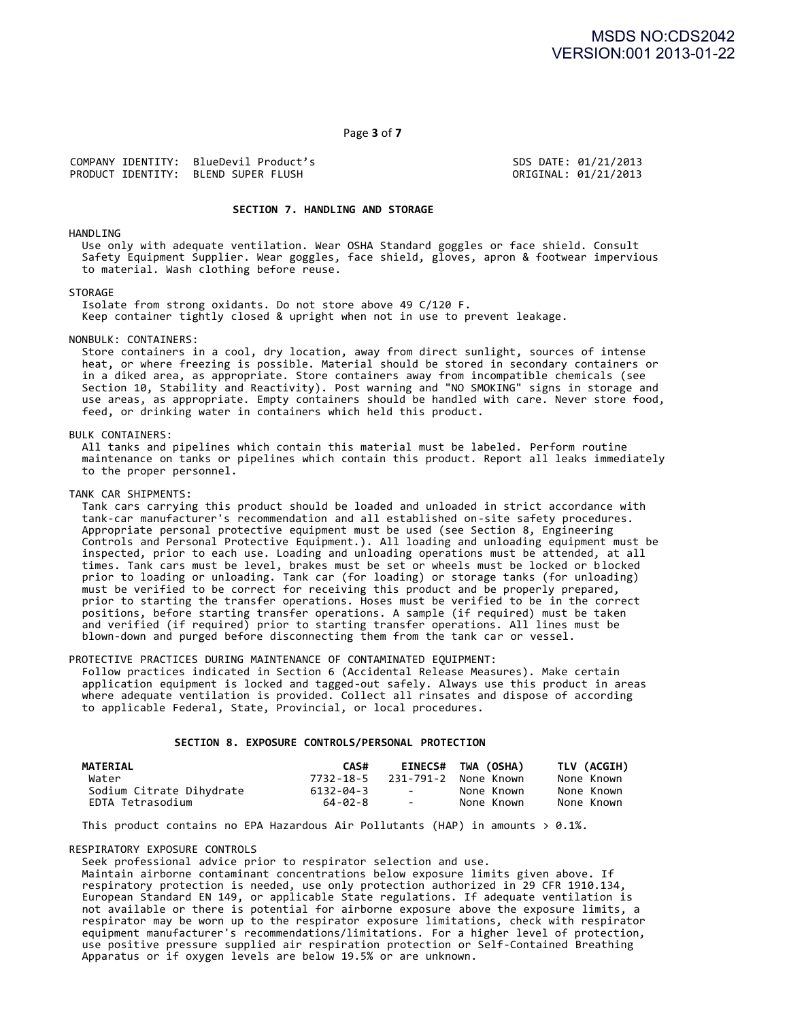Page **3** of **7**

COMPANY IDENTITY: BlueDevil Product's<br>PRODUCT IDENTITY: BLEND SUPER FLUSH SONG SONG SONG SONGINAL: 01/21/2013 PRODUCT IDENTITY: BLEND SUPER FLUSH

#### SECTION 7. HANDLING AND STORAGE

HANDLING

Use only with adequate ventilation. Wear OSHA Standard goggles or face shield. Consult Safety Equipment Supplier. Wear goggles, face shield, gloves, apron & footwear impervious to material. Wash clothing before reuse.

**STORAGE** 

Isolate from strong oxidants. Do not store above 49 C/120 F. Keep container tightly closed & upright when not in use to prevent leakage.

#### NONBULK: CONTAINERS:

Store containers in a cool, dry location, away from direct sunlight, sources of intense heat, or where freezing is possible. Material should be stored in secondary containers or in a diked area, as appropriate. Store containers away from incompatible chemicals (see <code>Section 10, Stability</code> and <code>Reactivity</code>). Post warning and "NO SMOKING" signs in storage and use areas, as appropriate. Empty containers should be handled with care. Never store food, feed, or drinking water in containers which held this product.

#### BULK CONTAINERS:

All tanks and pipelines which contain this material must be labeled. Perform routine maintenance on tanks or pipelines which contain this product. Report all leaks immediately to the proper personnel.

#### TANK CAR SHIPMENTS:

Tank cars carrying this product should be loaded and unloaded in strict accordance with tank-car manufacturer's recommendation and all established on-site safety procedures. Appropriate personal protective equipment must be used (see Section 8, Engineering Controls and Personal Protective Equipment.). All loading and unloading equipment must be inspected, prior to each use. Loading and unloading operations must be attended, at all times. Tank cars must be level, brakes must be set or wheels must be locked or blocked prior to loading or unloading. Tank car (for loading) or storage tanks (for unloading) must be verified to be correct for receiving this product and be properly prepared, prior to starting the transfer operations. Hoses must be verified to be in the correct positions, before starting transfer operations. A sample (if required) must be taken and verified (if required) prior to starting transfer operations. All lines must be blown-down and purged before disconnecting them from the tank car or vessel.

#### PROTECTIVE PRACTICES DURING MAINTENANCE OF CONTAMINATED EQUIPMENT:

Follow practices indicated in Section 6 (Accidental Release Measures). Make certain application equipment is locked and tagged-out safely. Always use this product in areas where adequate ventilation is provided. Collect all rinsates and dispose of according to applicable Federal, State, Provincial, or local procedures.

#### SECTION 8. EXPOSURE CONTROLS/PERSONAL PROTECTION

| <b>MATERIAL</b>          | CAS#      |                          | EINECS# TWA (OSHA)   | TLV (ACGIH) |
|--------------------------|-----------|--------------------------|----------------------|-------------|
| Water                    | 7732-18-5 |                          | 231-791-2 None Known | None Known  |
| Sodium Citrate Dihydrate | 6132-04-3 | <b>Service</b>           | None Known           | None Known  |
| EDTA Tetrasodium         | 64-02-8   | <b>Contract Contract</b> | None Known           | None Known  |

This product contains no EPA Hazardous Air Pollutants (HAP) in amounts  $> 0.1\%$ .

#### RESPIRATORY EXPOSURE CONTROLS

Seek professional advice prior to respirator selection and use.

Maintain airborne contaminant concentrations below exposure limits given above. If respiratory protection is needed, use only protection authorized in 29 CFR 1910.134, European Standard EN 149, or applicable State regulations. If adequate ventilation is not available or there is potential for airborne exposure above the exposure limits, a respirator may be worn up to the respirator exposure limitations, check with respirator equipment manufacturer's recommendations/limitations. For a higher level of protection, use positive pressure supplied air respiration protection or Self-Contained Breathing Apparatus or if oxygen levels are below 19.5% or are unknown.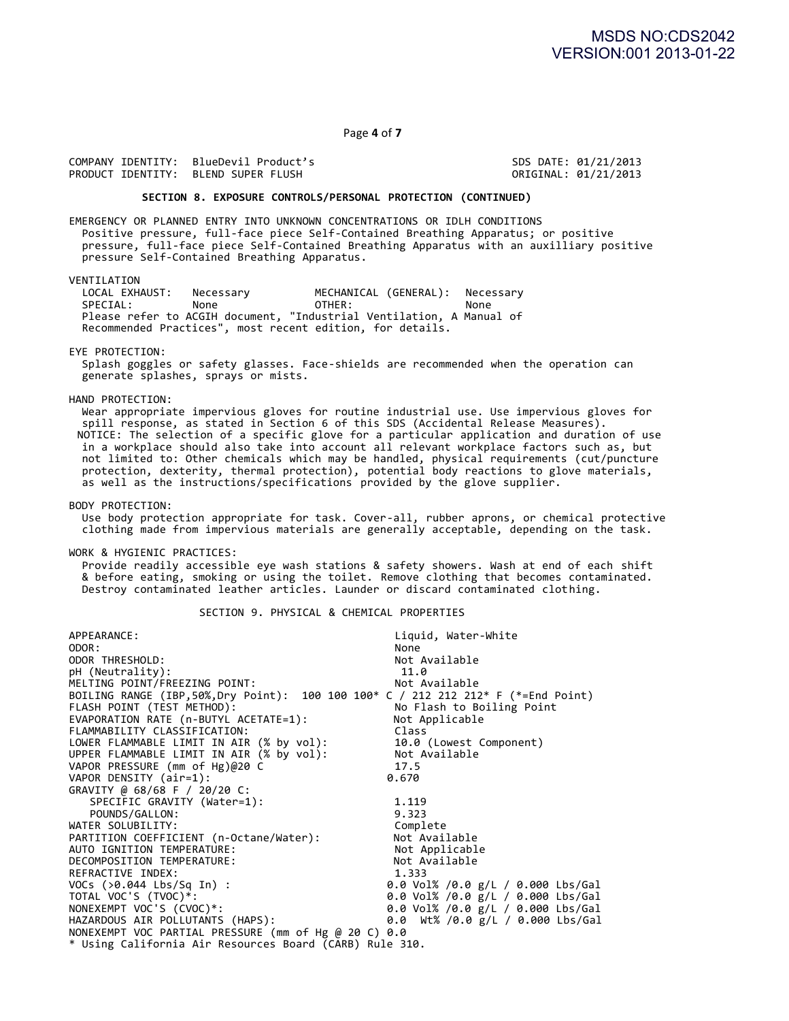Page **4** of **7**

COMPANY IDENTITY: BlueDevil Product's SDS DATE: 01/21/2013 PRODUCT IDENTITY: BLEND SUPER FLUSH

#### SECTION 8. EXPOSURE CONTROLS/PERSONAL PROTECTION (CONTINUED)

EMERGENCY OR PLANNED ENTRY INTO UNKNOWN CONCENTRATIONS OR IDLH CONDITIONS Positive pressure, full-face piece Self-Contained Breathing Apparatus; or positive pressure, full-face piece Self-Contained Breathing Apparatus with an auxilliary positive pressure Self-Contained Breathing Apparatus.

VENTILATION<br>LOCAL EXHAUST: LOCAL EXHAUST: Necessary MECHANICAL (GENERAL): Necessary SPECIAL: None **OTHER:** None Please refer to ACGIH document, "Industrial Ventilation, A Manual of Recommended Practices", most recent edition, for details.

#### EYE PROTECTION:

Splash goggles or safety glasses. Face-shields are recommended when the operation can generate splashes, sprays or mists.

#### HAND PROTECTION:

Wear appropriate impervious gloves for routine industrial use. Use impervious gloves for spill response, as stated in Section 6 of this SDS (Accidental Release Measures). <code>NOTICE:</code> The selection of a specific glove for a particular application and duration of use in a workplace should also take into account all relevant workplace factors such as, but not limited to: Other chemicals which may be handled, physical requirements (cut/puncture protection, dexterity, thermal protection), potential body reactions to glove materials, as well as the instructions/specifications provided by the glove supplier.

#### BODY PROTECTION:

Use body protection appropriate for task. Cover-all, rubber aprons, or chemical protective clothing made from impervious materials are generally acceptable, depending on the task.

#### WORK & HYGIENIC PRACTICES:

Provide readily accessible eye wash stations & safety showers. Wash at end of each shift & before eating, smoking or using the toilet. Remove clothing that becomes contaminated. Destroy contaminated leather articles. Launder or discard contaminated clothing.

#### SECTION 9. PHYSICAL & CHEMICAL PROPERTIES

| APPEARANCE:                                                                      | Liquid, Water-White                 |
|----------------------------------------------------------------------------------|-------------------------------------|
| ODOR:                                                                            | None                                |
| ODOR THRESHOLD:                                                                  | Not Available                       |
| pH (Neutrality):                                                                 | 11.0                                |
| MELTING POINT/FREEZING POINT:                                                    | Not Available                       |
| BOILING RANGE (IBP,50%,Dry Point): 100 100 100* C / 212 212 212* F (*=End Point) |                                     |
| FLASH POINT (TEST METHOD):                                                       | No Flash to Boiling Point           |
| EVAPORATION RATE (n-BUTYL ACETATE=1):                                            | Not Applicable                      |
| FLAMMABILITY CLASSIFICATION:                                                     | Class                               |
| LOWER FLAMMABLE LIMIT IN AIR (% by vol):                                         | 10.0 (Lowest Component)             |
| UPPER FLAMMABLE LIMIT IN AIR (% by vol):                                         | Not Available                       |
| VAPOR PRESSURE (mm of Hg)@20 C                                                   | 17.5                                |
| VAPOR DENSITY (air=1):                                                           | 0.670                               |
| GRAVITY @ 68/68 F / 20/20 C:                                                     |                                     |
| SPECIFIC GRAVITY (Water=1):                                                      | 1.119                               |
| POUNDS/GALLON:                                                                   | 9.323                               |
| WATER SOLUBILITY:                                                                | Complete                            |
| PARTITION COEFFICIENT (n-Octane/Water):                                          | Not Available                       |
| AUTO IGNITION TEMPERATURE:                                                       | Not Applicable                      |
| DECOMPOSITION TEMPERATURE:                                                       | Not Available                       |
| REFRACTIVE INDEX:                                                                | 1.333                               |
| VOCs (>0.044 Lbs/Sq In) :                                                        | 0.0 Vol% /0.0 g/L / 0.000 Lbs/Gal   |
| TOTAL VOC'S (TVOC)*:                                                             | 0.0 Vol% /0.0 g/L / 0.000 Lbs/Gal   |
| NONEXEMPT VOC'S (CVOC)*:                                                         | 0.0 Vol% /0.0 g/L / 0.000 Lbs/Gal   |
| HAZARDOUS AIR POLLUTANTS (HAPS):                                                 | 0.0 $Wt\%$ /0.0 g/L / 0.000 Lbs/Gal |
| NONEXEMPT VOC PARTIAL PRESSURE (mm of Hg @ 20 C) 0.0                             |                                     |
| * Using California Air Resources Board (CARB) Rule 310.                          |                                     |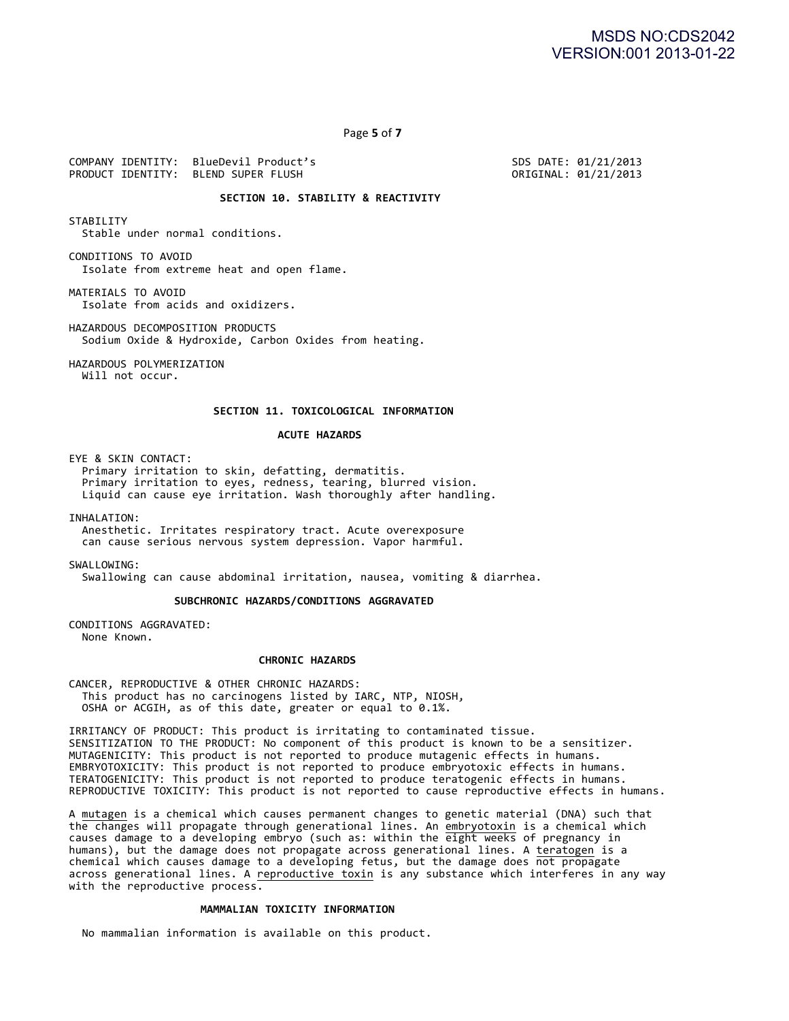Page **5** of **7**

COMPANY IDENTITY: BlueDevil Product's SDS DATE: 01/21/2013 PRODUCT IDENTITY: BLEND SUPER FLUSH

# **SECTION 10. STABILITY & REACTIVITY**

**STABILITY** Stable under normal conditions.

CONDITIONS TO AVOID Isolate from extreme heat and open flame.

MATERIALS TO AVOID Isolate from acids and oxidizers.

HAZARDOUS DECOMPOSITION PRODUCTS Sodium Oxide & Hydroxide, Carbon Oxides from heating.

HAZARDOUS POLYMERIZATION Will not occur.

#### **SECTION 11. TOXICOLOGICAL INFORMATION**

#### **ACUTE HAZARDS**

EYE & SKIN CONTACT:

Primary irritation to skin, defatting, dermatitis. Primary irritation to eyes, redness, tearing, blurred vision. Liquid can cause eye irritation. Wash thoroughly after handling.

INHALATION:

Anesthetic. Irritates respiratory tract. Acute overexposure can cause serious nervous system depression. Vapor harmful.

SWALLOWTNG:

Swallowing can cause abdominal irritation, nausea, vomiting & diarrhea.

**SUBCHRONIC HAZARDS/CONDITIONS AGGRAVATED**

CONDITIONS AGGRAVATED: None Known.

#### **CHRONIC HAZARDS**

CANCER, REPRODUCTIVE & OTHER CHRONIC HAZARDS: This product has no carcinogens listed by IARC, NTP, NIOSH, OSHA or ACGIH, as of this date, greater or equal to 0.1%.

IRRITANCY OF PRODUCT: This product is irritating to contaminated tissue. SENSITIZATION TO THE PRODUCT: No component of this product is known to be a sensitizer. MUTAGENICITY: This product is not reported to produce mutagenic effects in humans. EMBRYOTOXICITY: This product is not reported to produce embryotoxic effects in humans. TERATOGENICITY: This product is not reported to produce teratogenic effects in humans. REPRODUCTIVE TOXICITY: This product is not reported to cause reproductive effects in humans.

A mutagen is a chemical which causes permanent changes to genetic material (DNA) such that the changes will propagate through generational lines. An embryotoxin is a chemical which causes damage to a developing embryo (such as: within the eight weeks of pregnancy in humans), but the damage does not propagate across generational lines. A teratogen is a  $chemical$  which causes damage to a developing fetus, but the damage does not propagate across generational lines. A reproductive toxin is any substance which interferes in any way with the reproductive process.

#### **MAMMALIAN TOXICITY INFORMATION**

No mammalian information is available on this product.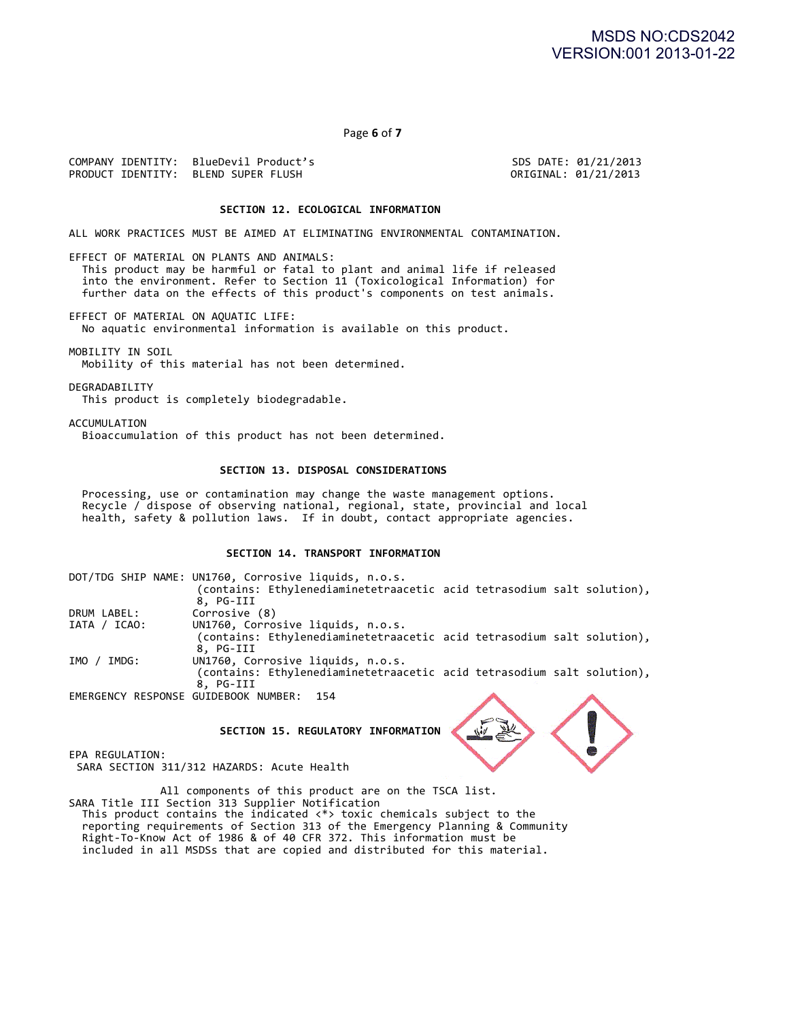Page **6** of **7**

COMPANY IDENTITY: BlueDevil Product's SDS DATE: 01/21/2013 PRODUCT IDENTITY: BLEND SUPER FLUSH

# SECTION 12. ECOLOGICAL INFORMATION

ALL WORK PRACTICES MUST BE AIMED AT ELIMINATING ENVIRONMENTAL CONTAMINATION.

EFFECT OF MATERIAL ON PLANTS AND ANIMALS: This product may be harmful or fatal to plant and animal life if released into the environment. Refer to Section 11 (Toxicological Information) for further data on the effects of this product's components on test animals.

EFFECT OF MATERIAL ON AQUATIC LIFE: No aquatic environmental information is available on this product.

MOBILITY IN SOIL Mobility of this material has not been determined.

DEGRADABILITY This product is completely biodegradable.

ACCUMULATION Bioaccumulation of this product has not been determined.

### SECTION 13. DISPOSAL CONSIDERATIONS

Processing, use or contamination may change the waste management options. Recycle / dispose of observing national, regional, state, provincial and local health, safety & pollution laws. If in doubt, contact appropriate agencies.

# **SECTION 14. TRANSPORT INFORMATION**

|                                      | DOT/TDG SHIP NAME: UN1760, Corrosive liquids, n.o.s.                   |  |
|--------------------------------------|------------------------------------------------------------------------|--|
|                                      | (contains: Ethylenediaminetetraacetic acid tetrasodium salt solution), |  |
|                                      | 8, PG-III                                                              |  |
| DRUM LABEL:                          | Corrosive (8)                                                          |  |
| IATA / ICAO:                         | UN1760, Corrosive liquids, n.o.s.                                      |  |
|                                      | (contains: Ethylenediaminetetraacetic acid tetrasodium salt solution), |  |
|                                      | 8. PG-III                                                              |  |
| IMO /<br>IMDG:                       | UN1760, Corrosive liquids, n.o.s.                                      |  |
|                                      | (contains: Ethylenediaminetetraacetic acid tetrasodium salt solution), |  |
|                                      | 8. PG-III                                                              |  |
| EMERGENCY RESPONSE GUIDEBOOK NUMBER: | - 154                                                                  |  |
|                                      |                                                                        |  |

**SECTION 15. REGULATORY INFORMATION**

EPA REGULATION:

SARA SECTION 311/312 HAZARDS: Acute Health

All components of this product are on the TSCA list. SARA Title III Section 313 Supplier Notification This product contains the indicated  $\langle * \rangle$  toxic chemicals subject to the reporting requirements of Section 313 of the Emergency Planning & Community Right-To-Know Act of 1986 & of 40 CFR 372. This information must be included in all MSDSs that are copied and distributed for this material.

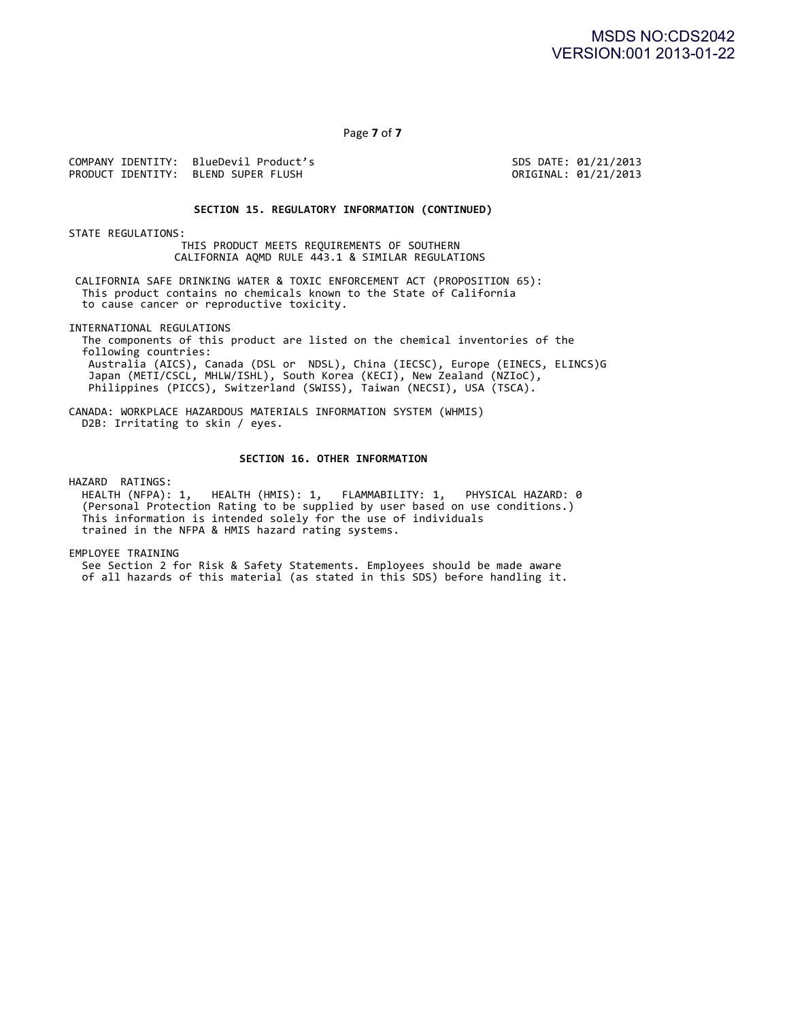Page **7** of **7**

COMPANY IDENTITY: BlueDevil Product's SDS DATE: 01/21/2013 PRODUCT IDENTITY: BLEND SUPER FLUSH

#### **SECTION 15. REGULATORY INFORMATION (CONTINUED)**

STATE REGULATIONS:

THIS PRODUCT MEETS REQUIREMENTS OF SOUTHERN CALIFORNIA AQMD RULE 443.1 & SIMILAR REGULATIONS

CALIFORNIA SAFE DRINKING WATER & TOXIC ENFORCEMENT ACT (PROPOSITION 65): This product contains no chemicals known to the State of California to cause cancer or reproductive toxicity.

INTERNATIONAL REGULATIONS

The components of this product are listed on the chemical inventories of the following countries: Australia (AICS), Canada (DSL or NDSL), China (IECSC), Europe (EINECS, ELINCS)G Japan (METI/CSCL, MHLW/ISHL), South Korea (KECI), New Zealand (NZIoC), Philippines (PICCS), Switzerland (SWISS), Taiwan (NECSI), USA (TSCA).

CANADA: WORKPLACE HAZARDOUS MATERIALS INFORMATION SYSTEM (WHMIS) D2B: Irritating to skin / eyes.

#### SECTION 16. OTHER INFORMATION

HAZARD RATINGS:

HEALTH (NFPA): 1, HEALTH (HMIS): 1, FLAMMABILITY: 1, PHYSICAL HAZARD: 0 (Personal Protection Rating to be supplied by user based on use conditions.) This information is intended solely for the use of individuals trained in the NFPA & HMIS hazard rating systems.

EMPLOYEE TRAINING

See Section 2 for Risk & Safety Statements. Employees should be made aware of all hazards of this material (as stated in this SDS) before handling it.  $\,$